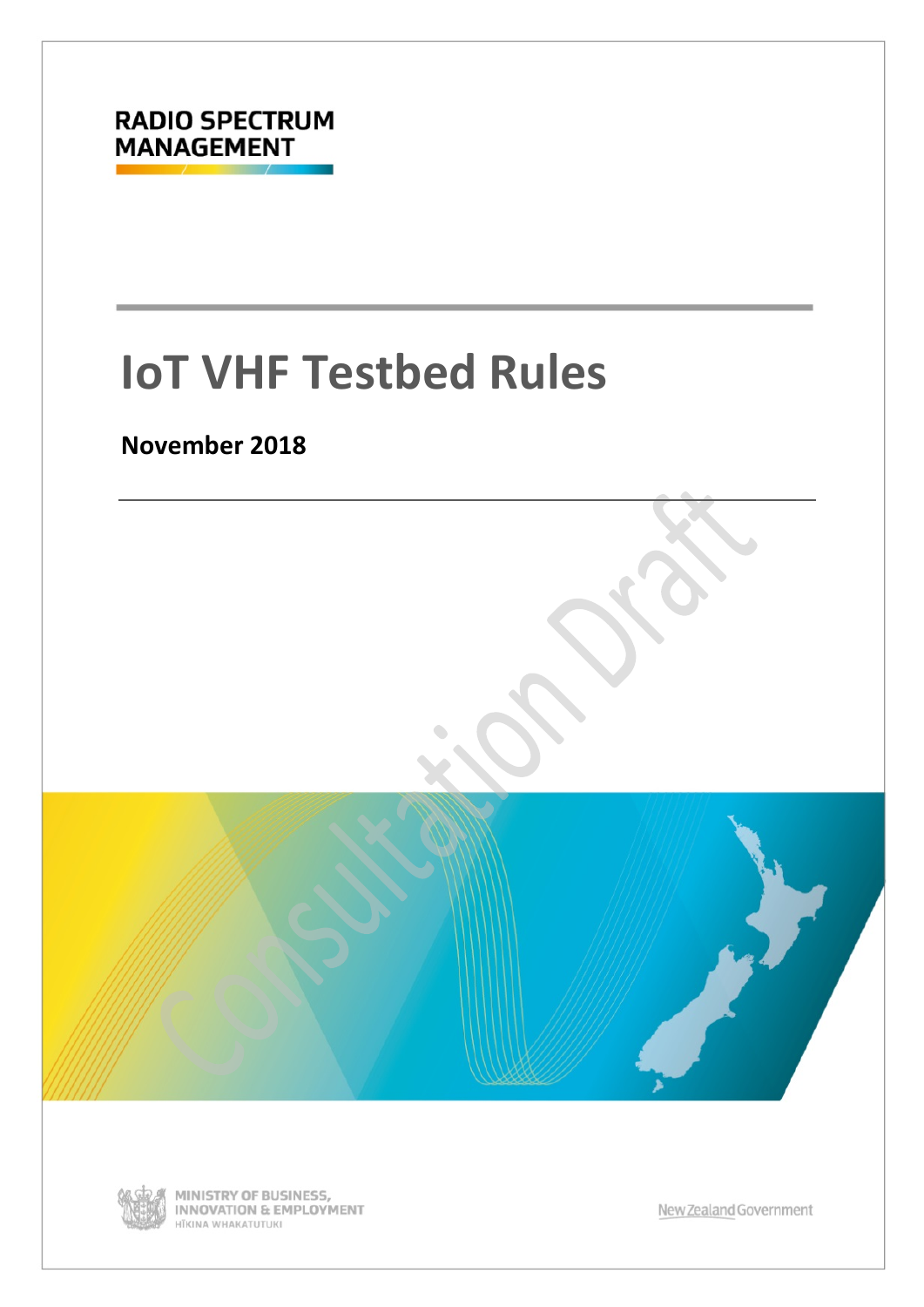

# **IoT VHF Testbed Rules**

### **November 2018**





MINISTRY OF BUSINESS,<br>INNOVATION & EMPLOYMENT HĪKINA WHAKATUTUKI

New Zealand Government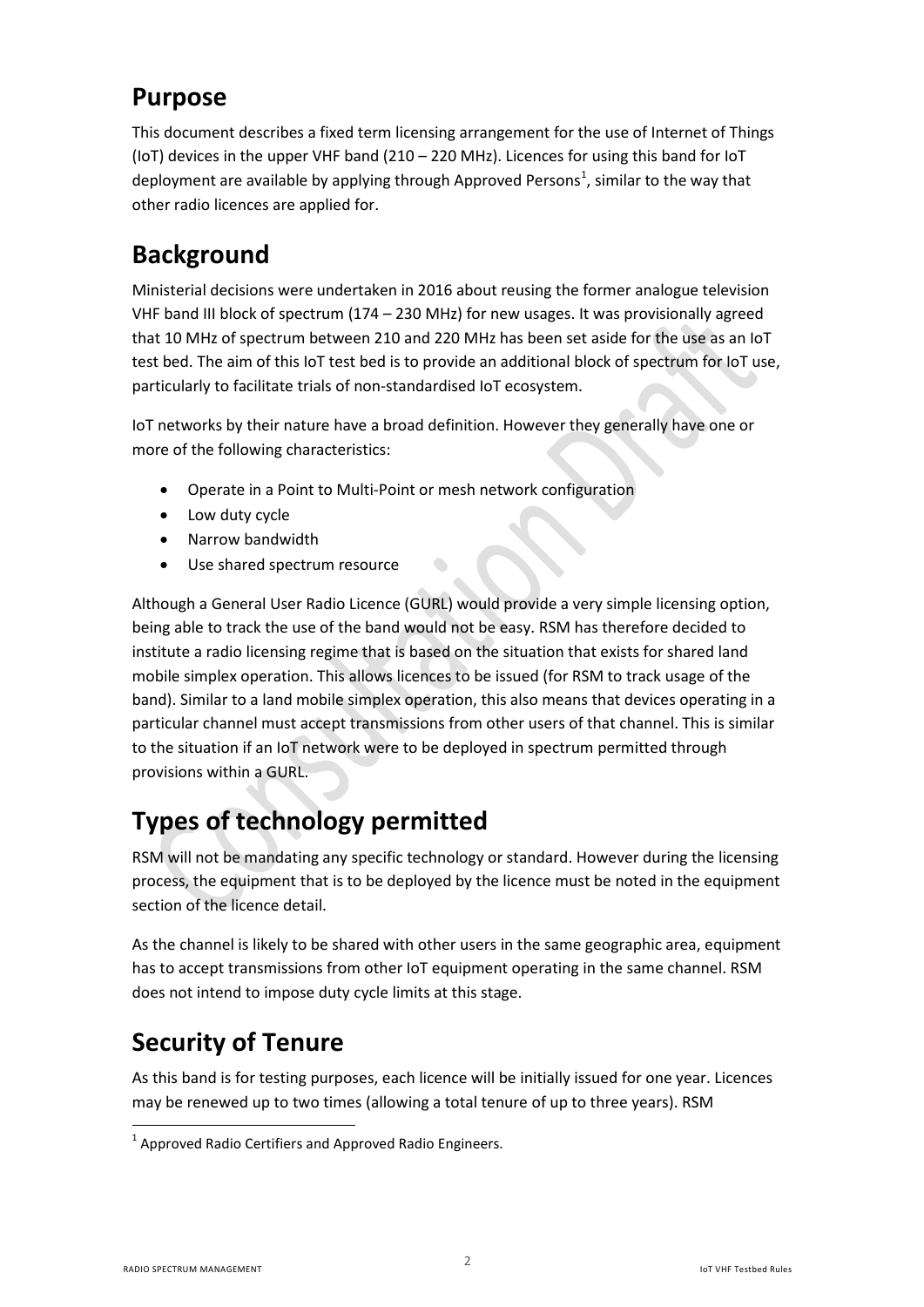### **Purpose**

This document describes a fixed term licensing arrangement for the use of Internet of Things (IoT) devices in the upper VHF band (210 – 220 MHz). Licences for using this band for IoT deployment are available by applying through Approved Persons<sup>[1](#page-1-0)</sup>, similar to the way that other radio licences are applied for.

# **Background**

Ministerial decisions were undertaken in 2016 about reusing the former analogue television VHF band III block of spectrum (174 – 230 MHz) for new usages. It was provisionally agreed that 10 MHz of spectrum between 210 and 220 MHz has been set aside for the use as an IoT test bed. The aim of this IoT test bed is to provide an additional block of spectrum for IoT use, particularly to facilitate trials of non-standardised IoT ecosystem.

IoT networks by their nature have a broad definition. However they generally have one or more of the following characteristics:

- Operate in a Point to Multi-Point or mesh network configuration
- Low duty cycle
- Narrow bandwidth
- Use shared spectrum resource

Although a General User Radio Licence (GURL) would provide a very simple licensing option, being able to track the use of the band would not be easy. RSM has therefore decided to institute a radio licensing regime that is based on the situation that exists for shared land mobile simplex operation. This allows licences to be issued (for RSM to track usage of the band). Similar to a land mobile simplex operation, this also means that devices operating in a particular channel must accept transmissions from other users of that channel. This is similar to the situation if an IoT network were to be deployed in spectrum permitted through provisions within a GURL.

# **Types of technology permitted**

RSM will not be mandating any specific technology or standard. However during the licensing process, the equipment that is to be deployed by the licence must be noted in the equipment section of the licence detail.

As the channel is likely to be shared with other users in the same geographic area, equipment has to accept transmissions from other IoT equipment operating in the same channel. RSM does not intend to impose duty cycle limits at this stage.

# **Security of Tenure**

As this band is for testing purposes, each licence will be initially issued for one year. Licences may be renewed up to two times (allowing a total tenure of up to three years). RSM

 $\overline{a}$ 

<span id="page-1-0"></span> $1$  Approved Radio Certifiers and Approved Radio Engineers.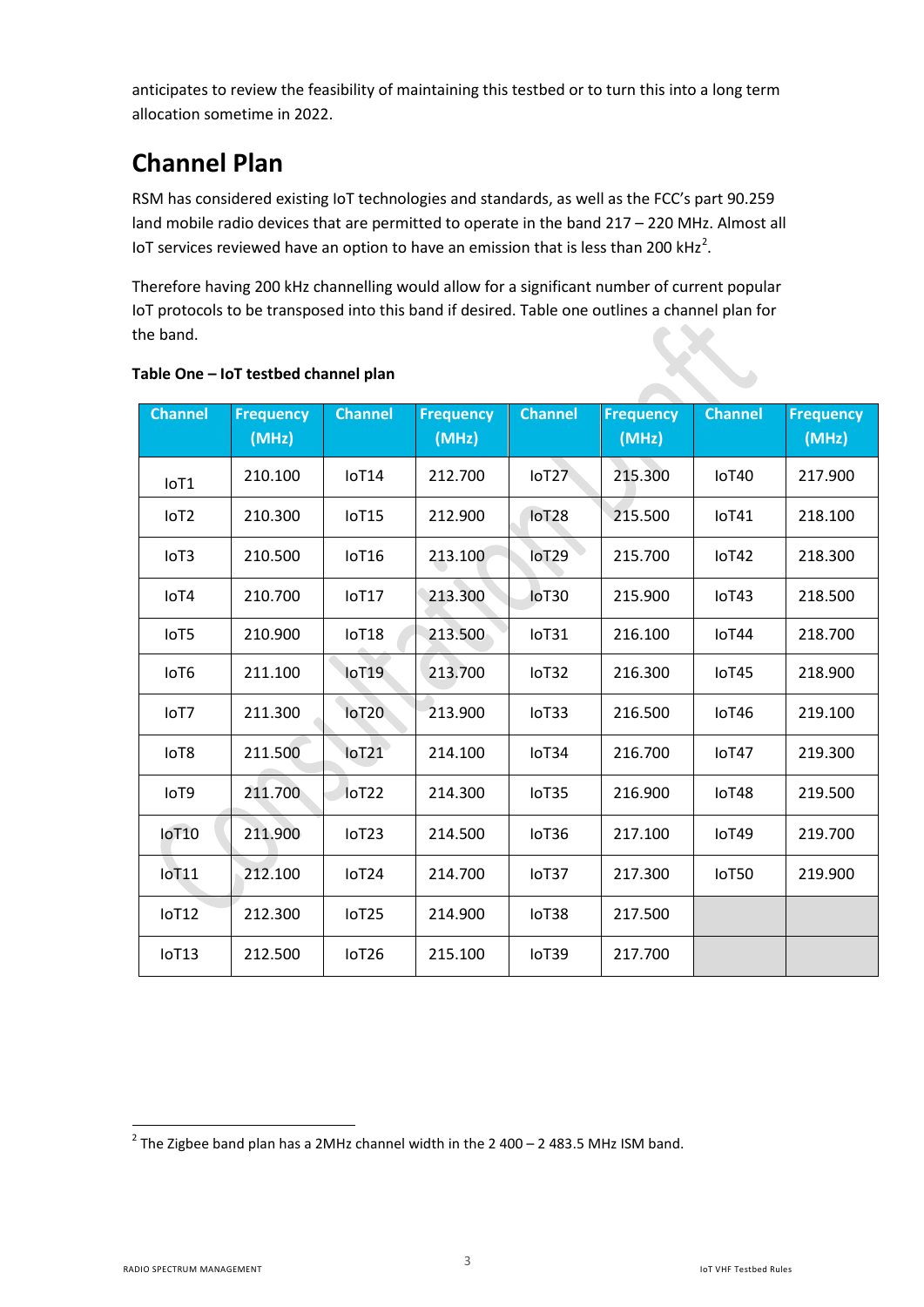anticipates to review the feasibility of maintaining this testbed or to turn this into a long term allocation sometime in 2022.

# **Channel Plan**

RSM has considered existing IoT technologies and standards, as well as the FCC's part 90.259 land mobile radio devices that are permitted to operate in the band 217 – 220 MHz. Almost all IoT services reviewed have an option to have an emission that is less than [2](#page-2-0)00 kHz<sup>2</sup>.

Therefore having 200 kHz channelling would allow for a significant number of current popular IoT protocols to be transposed into this band if desired. Table one outlines a channel plan for the band.

| <b>Channel</b>   | <b>Frequency</b><br>(MHz) | <b>Channel</b>    | <b>Frequency</b><br>(MHz) | <b>Channel</b>      | <b>Frequency</b><br>(MHz) | <b>Channel</b> | <b>Frequency</b><br>(MHz) |
|------------------|---------------------------|-------------------|---------------------------|---------------------|---------------------------|----------------|---------------------------|
| IoT1             | 210.100                   | IoT14             | 212.700                   | loT27               | 215.300                   | loT40          | 217.900                   |
| IoT <sub>2</sub> | 210.300                   | IoT15             | 212.900                   | loT <sub>28</sub>   | 215.500                   | IoT41          | 218.100                   |
| IoT <sub>3</sub> | 210.500                   | loT <sub>16</sub> | 213.100                   | loT29               | 215.700                   | IoT42          | 218.300                   |
| IoT4             | 210.700                   | IoT17             | 213.300                   | IoT30               | 215.900                   | IoT43          | 218.500                   |
| IoT5             | 210.900                   | IoT18             | 213.500                   | IoT31               | 216.100                   | IoT44          | 218.700                   |
| IoT6             | 211.100                   | loT <sub>19</sub> | 213.700                   | IoT32               | 216.300                   | IoT45          | 218.900                   |
| IoT7             | 211.300                   | <b>IoT20</b>      | 213.900                   | I <sub>0</sub> TT33 | 216.500                   | loT46          | 219.100                   |
| IoT8             | 211.500                   | $I$ oT $21$       | 214.100                   | IoT34               | 216.700                   | IoT47          | 219.300                   |
| IoT9             | 211.700                   | loT22             | 214.300                   | IoT35               | 216.900                   | loT48          | 219.500                   |
| loT10            | 211.900                   | IoT <sub>23</sub> | 214.500                   | IoT <sub>36</sub>   | 217.100                   | IoT49          | 219.700                   |
| <b>IoT11</b>     | 212.100                   | IoT <sub>24</sub> | 214.700                   | IoT37               | 217.300                   | loT50          | 219.900                   |
| IoT12            | 212.300                   | IoT <sub>25</sub> | 214.900                   | IoT38               | 217.500                   |                |                           |
| IoT13            | 212.500                   | IoT <sub>26</sub> | 215.100                   | IoT39               | 217.700                   |                |                           |

#### **Table One – IoT testbed channel plan**

<span id="page-2-0"></span> $^{2}$  The Zigbee band plan has a 2MHz channel width in the 2 400 – 2 483.5 MHz ISM band.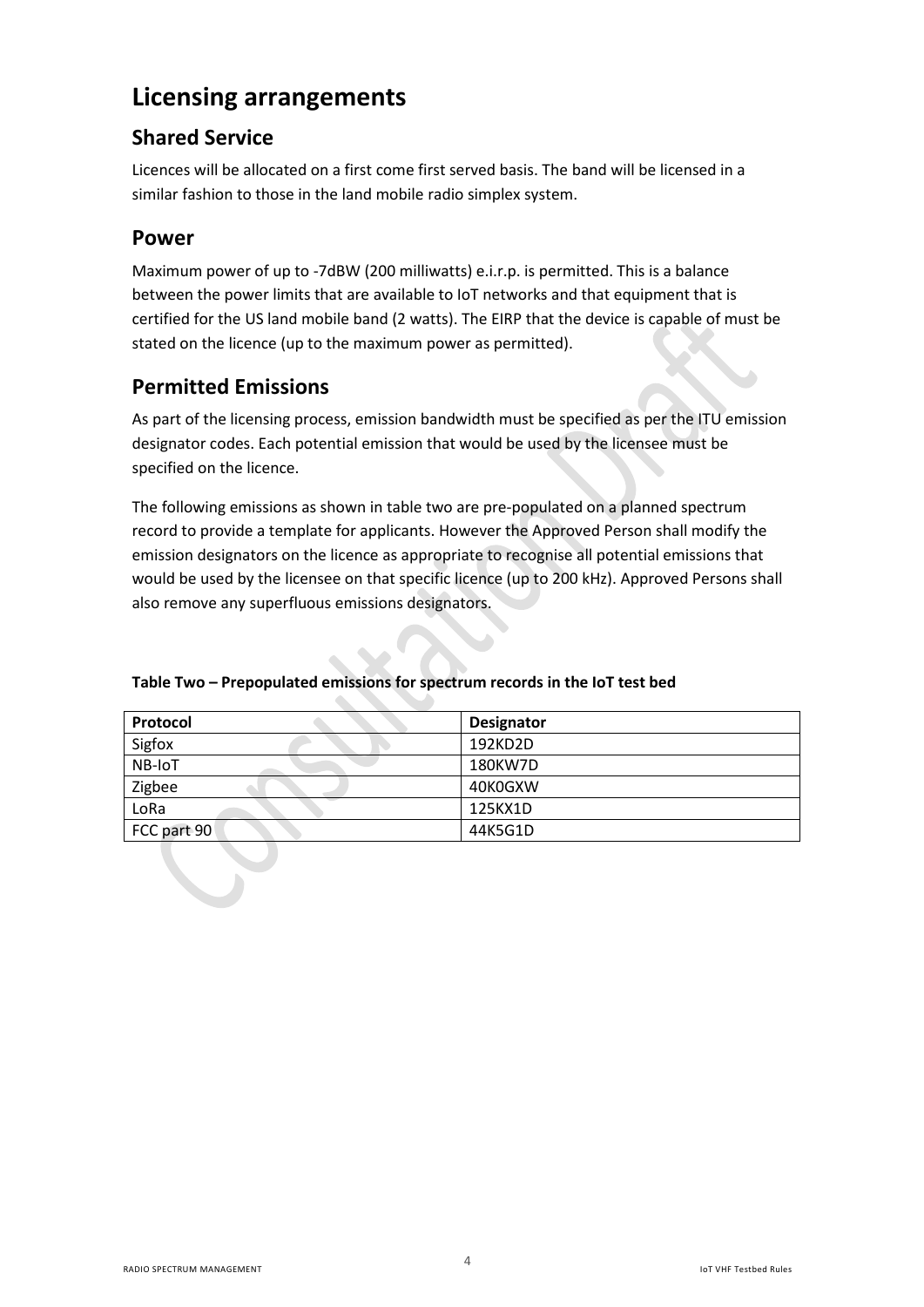### **Licensing arrangements**

#### **Shared Service**

Licences will be allocated on a first come first served basis. The band will be licensed in a similar fashion to those in the land mobile radio simplex system.

#### **Power**

Maximum power of up to -7dBW (200 milliwatts) e.i.r.p. is permitted. This is a balance between the power limits that are available to IoT networks and that equipment that is certified for the US land mobile band (2 watts). The EIRP that the device is capable of must be stated on the licence (up to the maximum power as permitted).

#### **Permitted Emissions**

As part of the licensing process, emission bandwidth must be specified as per the ITU emission designator codes. Each potential emission that would be used by the licensee must be specified on the licence.

The following emissions as shown in table two are pre-populated on a planned spectrum record to provide a template for applicants. However the Approved Person shall modify the emission designators on the licence as appropriate to recognise all potential emissions that would be used by the licensee on that specific licence (up to 200 kHz). Approved Persons shall also remove any superfluous emissions designators.

| Protocol    | <b>Designator</b> |
|-------------|-------------------|
| Sigfox      | 192KD2D           |
| NB-IoT      | 180KW7D           |
| Zigbee      | 40K0GXW           |
| LoRa        | 125KX1D           |
| FCC part 90 | 44K5G1D           |

#### **Table Two – Prepopulated emissions for spectrum records in the IoT test bed**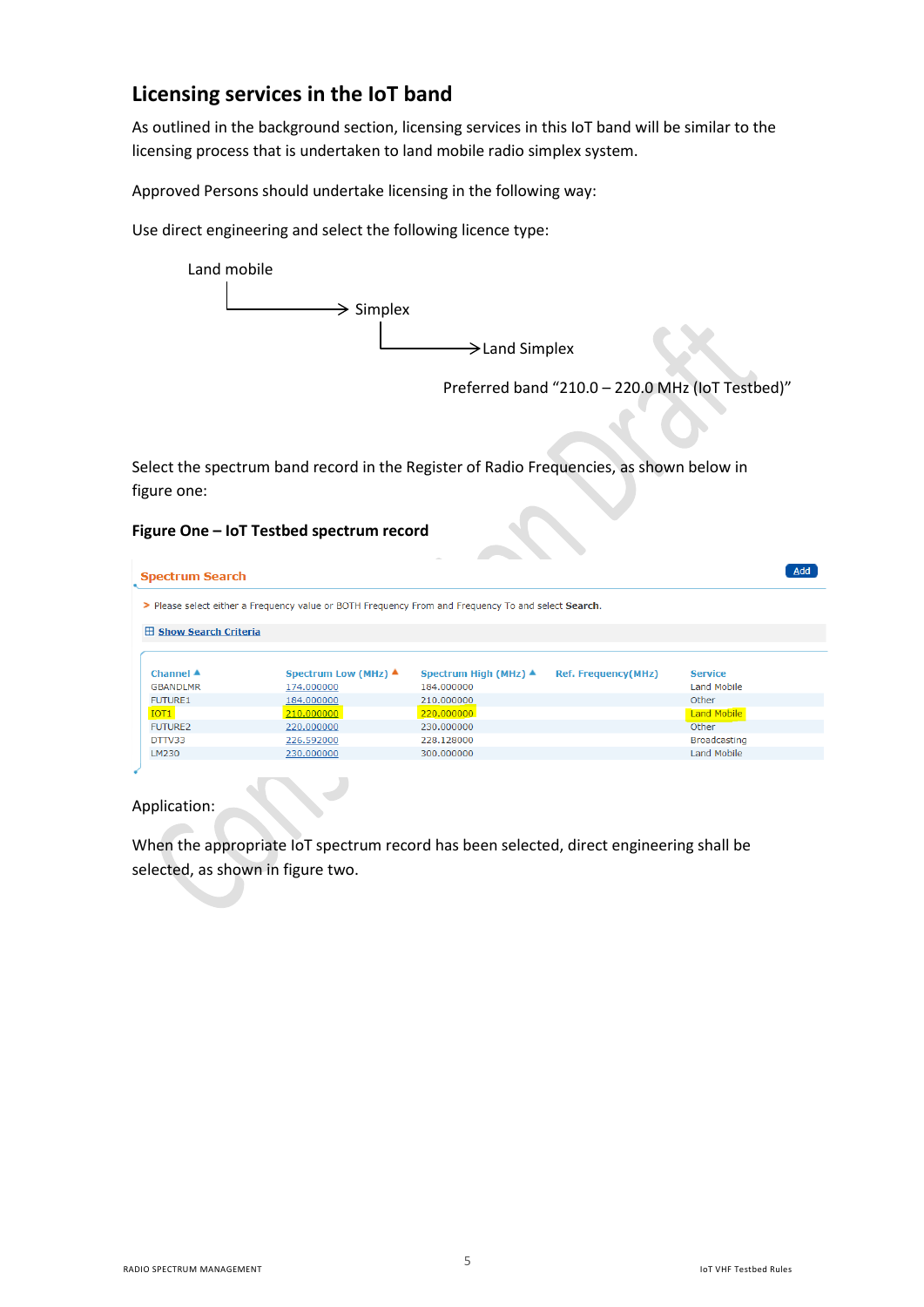#### **Licensing services in the IoT band**

As outlined in the background section, licensing services in this IoT band will be similar to the licensing process that is undertaken to land mobile radio simplex system.

Approved Persons should undertake licensing in the following way:

Use direct engineering and select the following licence type:



Preferred band "210.0 – 220.0 MHz (IoT Testbed)"

Select the spectrum band record in the Register of Radio Frequencies, as shown below in figure one:

#### **Figure One – IoT Testbed spectrum record**

| <b>Spectrum Search</b>                                                                              |                                |                                                         |                            |                     |  |  |  |  |  |
|-----------------------------------------------------------------------------------------------------|--------------------------------|---------------------------------------------------------|----------------------------|---------------------|--|--|--|--|--|
| > Please select either a Frequency value or BOTH Frequency From and Frequency To and select Search. |                                |                                                         |                            |                     |  |  |  |  |  |
|                                                                                                     | <b>El Show Search Criteria</b> |                                                         |                            |                     |  |  |  |  |  |
|                                                                                                     |                                |                                                         |                            |                     |  |  |  |  |  |
| Channel $\blacktriangle$                                                                            |                                | Spectrum Low (MHz) ▲<br>Spectrum High (MHz) $\triangle$ | <b>Ref. Frequency(MHz)</b> | <b>Service</b>      |  |  |  |  |  |
| <b>GBANDLMR</b>                                                                                     | 174.000000                     | 184,000000                                              |                            | Land Mobile         |  |  |  |  |  |
| <b>FUTURE1</b>                                                                                      | 184,000000                     | 210,000000                                              |                            | Other               |  |  |  |  |  |
| IOT <sub>1</sub>                                                                                    | 210.000000                     | 220,000000                                              |                            | Land Mobile         |  |  |  |  |  |
| <b>FUTURE2</b>                                                                                      | 220,000000                     | 230,000000                                              |                            | Other               |  |  |  |  |  |
| DTTV33                                                                                              | 226.592000                     | 228.128000                                              |                            | <b>Broadcasting</b> |  |  |  |  |  |
| LM230                                                                                               | 230.000000                     | 300,000000                                              |                            | Land Mobile         |  |  |  |  |  |
|                                                                                                     |                                |                                                         |                            |                     |  |  |  |  |  |

Application:

When the appropriate IoT spectrum record has been selected, direct engineering shall be selected, as shown in figure two.